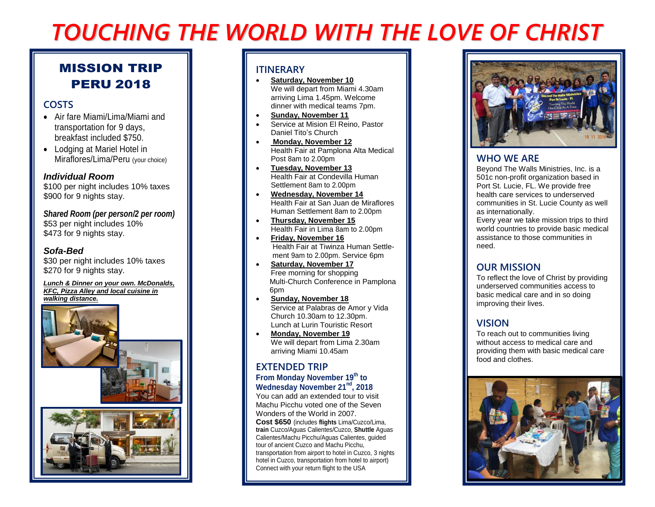# *TOUCHING THE WORLD WITH THE LOVE OF CHRIST*

## MISSION TRIP PERU 2018

## **COSTS**

- Air fare Miami/Lima/Miami and transportation for 9 days, breakfast included \$750.
- Lodging at Mariel Hotel in Miraflores/Lima/Peru (your choice)

#### *Individual Room*

\$100 per night includes 10% taxes \$900 for 9 nights stay.

#### *Shared Room (per person/2 per room)* \$53 per night includes 10%

\$473 for 9 nights stay.

#### *Sofa-Bed*

\$30 per night includes 10% taxes \$270 for 9 nights stay.

#### *Lunch & Dinner on your own. McDonalds, KFC, Pizza Alley and local cuisine in walking distance.*





#### **ITINERARY**

- **Saturday, November 10** We will depart from Miami 4.30am arriving Lima 1.45pm. Welcome dinner with medical teams 7pm.
- **Sunday, November 11**
- Service at Mision El Reino, Pastor Daniel Tito's Church
- **Monday, November 12** Health Fair at Pamplona Alta Medical Post 8am to 2.00pm
- **Tuesday, November 13** Health Fair at Condevilla Human Settlement 8am to 2.00pm
- **Wednesday, November 14** Health Fair at San Juan de Miraflores Human Settlement 8am to 2.00pm
- **Thursday, November 15** Health Fair in Lima 8am to 2.00pm
- **Friday, November 16** Health Fair at Tiwinza Human Settle ment 9am to 2.00pm. Service 6pm
- **Saturday, November 17** Free morning for shopping Multi-Church Conference in Pamplona 6pm
- **Sunday, November 18** Service at Palabras de Amor y Vida Church 10.30am to 12.30pm. Lunch at Lurin Touristic Resort
- **Monday, November 19** We will depart from Lima 2.30am arriving Miami 10.45am

#### **EXTENDED TRIP From Monday November 19th to**  Wednesday November 21<sup>nd</sup>, 2018

You can add an extended tour to visit Machu Picchu voted one of the Seven Wonders of the World in 2007. **Cost \$650** (includes **flights** Lima/Cuzco/Lima, **train** Cuzco/Aguas Calientes/Cuzco, **Shuttle** Aguas Calientes/Machu Picchu/Aguas Calientes, guided tour of ancient Cuzco and Machu Picchu,

transportation from airport to hotel in Cuzco, 3 nights hotel in Cuzco, transportation from hotel to airport) Connect with your return flight to the USA



## **WHO WE ARE**

Beyond The Walls Ministries, Inc. is a 501c non-profit organization based in Port St. Lucie, FL. We provide free health care services to underserved communities in St. Lucie County as well as internationally.

Every year we take mission trips to third world countries to provide basic medical assistance to those communities in need.

## **OUR MISSION**

To reflect the love of Christ by providing underserved communities access to basic medical care and in so doing improving their lives.

## **VISION**

To reach out to communities living without access to medical care and providing them with basic medical care food and clothes.